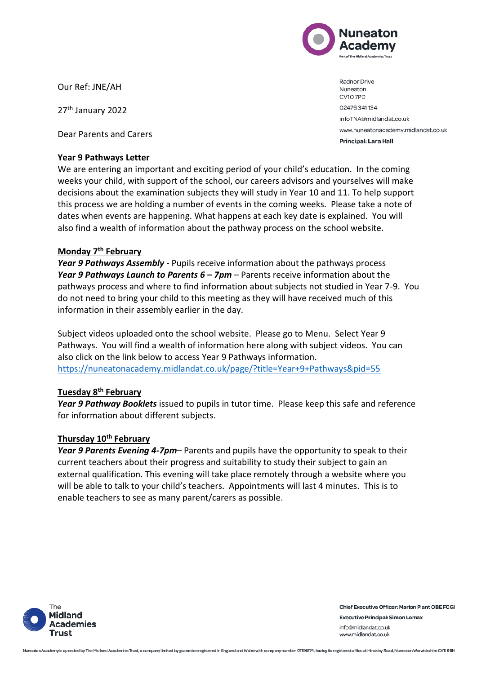

Our Ref: JNE/AH

27th January 2022

Dear Parents and Carers

## **Year 9 Pathways Letter**

We are entering an important and exciting period of your child's education. In the coming weeks your child, with support of the school, our careers advisors and yourselves will make decisions about the examination subjects they will study in Year 10 and 11. To help support this process we are holding a number of events in the coming weeks. Please take a note of dates when events are happening. What happens at each key date is explained. You will also find a wealth of information about the pathway process on the school website.

# **Monday 7th February**

*Year 9 Pathways Assembly* - Pupils receive information about the pathways process *Year 9 Pathways Launch to Parents 6 – 7pm* – Parents receive information about the pathways process and where to find information about subjects not studied in Year 7-9. You do not need to bring your child to this meeting as they will have received much of this information in their assembly earlier in the day.

Subject videos uploaded onto the school website. Please go to Menu. Select Year 9 Pathways. You will find a wealth of information here along with subject videos. You can also click on the link below to access Year 9 Pathways information. <https://nuneatonacademy.midlandat.co.uk/page/?title=Year+9+Pathways&pid=55>

## **Tuesday 8th February**

*Year 9 Pathway Booklets* issued to pupils in tutor time. Please keep this safe and reference for information about different subjects.

## **Thursday 10th February**

*Year 9 Parents Evening 4-7pm*– Parents and pupils have the opportunity to speak to their current teachers about their progress and suitability to study their subject to gain an external qualification. This evening will take place remotely through a website where you will be able to talk to your child's teachers. Appointments will last 4 minutes. This is to enable teachers to see as many parent/carers as possible.



**Chief Executive Officer: Marion Plant OBE FCGI Executive Principal: Simon Lomax** info@midlandat.co.uk www.midlandat.co.uk

NuneatonAcademy is operated by The Midland Academies Trust, a company limited by guarantee registered in England and Wales with company number 07191874, having its registered office at Hinckley Road, Nuneaton Warwickshire

Radnor Drive Nuneaton CV10 7PD 02476341134 infoTNA@midlandat.co.uk www.nuneatonacademy.midlandat.co.uk Principal: Lara Hall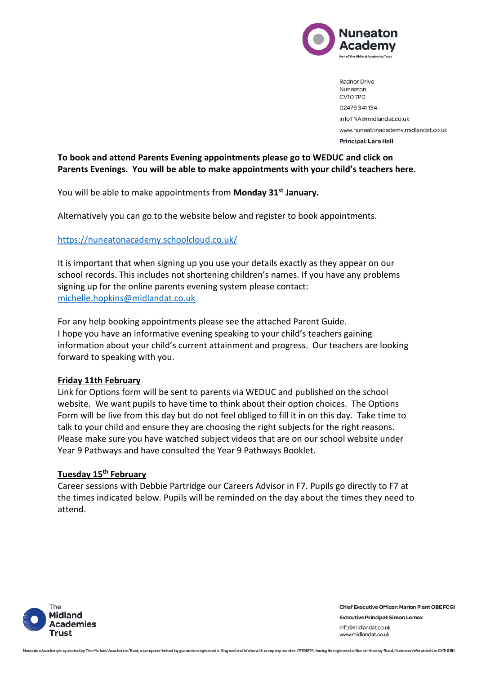

Radnor Drive Nuneaton CV10 7PD 02476341134 infoTNA@midlandat.co.uk www.nuneatonacademy.midlandat.co.uk Principal: Lara Hall

# **To book and attend Parents Evening appointments please go to WEDUC and click on Parents Evenings. You will be able to make appointments with your child's teachers here.**

You will be able to make appointments from **Monday 31st January.**

Alternatively you can go to the website below and register to book appointments.

#### <https://nuneatonacademy.schoolcloud.co.uk/>

It is important that when signing up you use your details exactly as they appear on our school records. This includes not shortening children's names. If you have any problems signing up for the online parents evening system please contact: [michelle.hopkins@midlandat.co.uk](mailto:michelle.hopkins@midlandat.co.uk)

For any help booking appointments please see the attached Parent Guide. I hope you have an informative evening speaking to your child's teachers gaining information about your child's current attainment and progress. Our teachers are looking forward to speaking with you.

#### **Friday 11th February**

Link for Options form will be sent to parents via WEDUC and published on the school website. We want pupils to have time to think about their option choices. The Options Form will be live from this day but do not feel obliged to fill it in on this day. Take time to talk to your child and ensure they are choosing the right subjects for the right reasons. Please make sure you have watched subject videos that are on our school website under Year 9 Pathways and have consulted the Year 9 Pathways Booklet.

#### **Tuesday 15th February**

Career sessions with Debbie Partridge our Careers Advisor in F7. Pupils go directly to F7 at the times indicated below. Pupils will be reminded on the day about the times they need to attend.



**Chief Executive Officer: Marion Plant OBE FCGI Executive Principal: Simon Lomax** info@midlandat.co.uk www.midlandat.co.uk